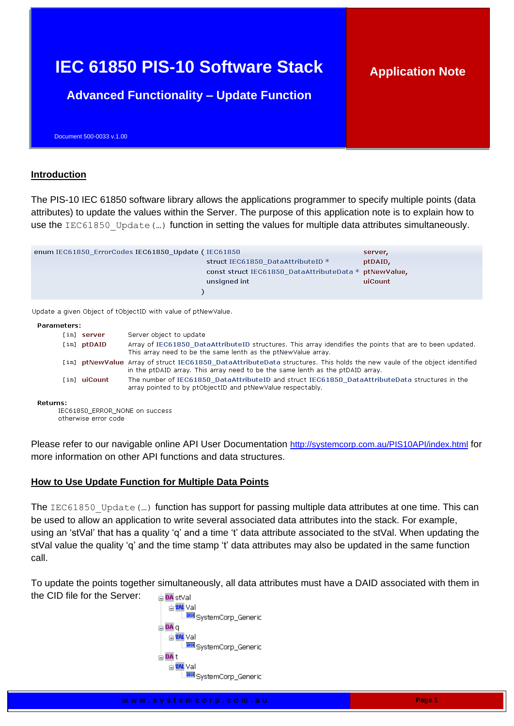# **IEC 61850 PIS-10 Software Stack**

# **Application Note**

**Advanced Functionality – Update Function**

Document 500-0033 v.1.00

## **Introduction**

The PIS-10 IEC 61850 software library allows the applications programmer to specify multiple points (data attributes) to update the values within the Server. The purpose of this application note is to explain how to use the IEC61850 Update (...) function in setting the values for multiple data attributes simultaneously.

| enum IEC61850_ErrorCodes IEC61850_Update (IEC61850_ |                                                       | server, |
|-----------------------------------------------------|-------------------------------------------------------|---------|
|                                                     | struct IEC61850 DataAttributeID *                     | ptDAID. |
|                                                     | const struct IEC61850 DataAttributeData * ptNewValue, |         |
|                                                     | unsigned int                                          | uiCount |
|                                                     |                                                       |         |

Update a given Object of tObjectID with value of ptNewValue.

#### **Parameters:**

| [in] server   | Server object to update                                                                                                                                                                                    |
|---------------|------------------------------------------------------------------------------------------------------------------------------------------------------------------------------------------------------------|
| $[in]$ ptDAID | Array of IEC61850_DataAttributeID structures. This array idendifies the points that are to been updated.<br>This array need to be the same lenth as the ptNewValue array.                                  |
|               | [in] ptNewValue Array of struct IEC61850_DataAttributeData structures. This holds the new vaule of the object identified<br>in the ptDAID array. This array need to be the same lenth as the ptDAID array. |
| [in] uiCount  | The number of IEC61850_DataAttributeID and struct IEC61850_DataAttributeData structures in the<br>array pointed to by ptObjectID and ptNewValue respectably.                                               |

#### **Returns:**

IEC61850\_ERROR\_NONE on success otherwise error code

Please refer to our navigable online API User Documentation <http://systemcorp.com.au/PIS10API/index.html> for more information on other API functions and data structures.

## **How to Use Update Function for Multiple Data Points**

The IEC61850 Update (...) function has support for passing multiple data attributes at one time. This can be used to allow an application to write several associated data attributes into the stack. For example, using an 'stVal' that has a quality 'q' and a time 't' data attribute associated to the stVal. When updating the stVal value the quality 'q' and the time stamp 't' data attributes may also be updated in the same function call.

To update the points together simultaneously, all data attributes must have a DAID associated with them in the CID file for the Server: